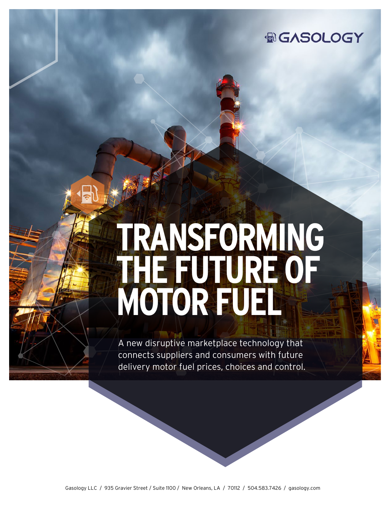

# **TRANSFORMING THE FUTURE OF MOTOR FUEL**

A new disruptive marketplace technology that connects suppliers and consumers with future delivery motor fuel prices, choices and control.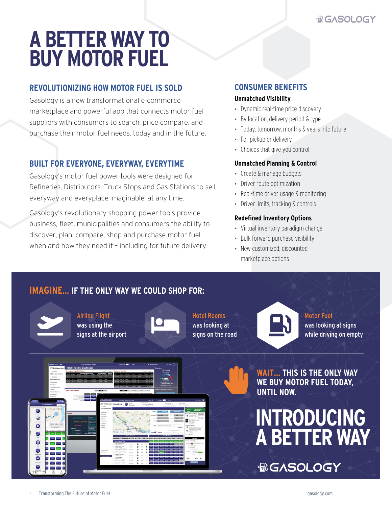## **A BETTER WAY TO BUY MOTOR FUEL**

### **REVOLUTIONIZING HOW MOTOR FUEL IS SOLD**

Gasology is a new transformational e-commerce marketplace and powerful app that connects motor fuel suppliers with consumers to search, price compare, and purchase their motor fuel needs, today and in the future.

#### **BUILT FOR EVERYONE, EVERYWAY, EVERYTIME**

Gasology's motor fuel power tools were designed for Refineries, Distributors, Truck Stops and Gas Stations to sell everyway and everyplace imaginable, at any time.

Gasology's revolutionary shopping power tools provide business, fleet, municipalities and consumers the ability to discover, plan, compare, shop and purchase motor fuel when and how they need it – including for future delivery.

#### **CONSUMER BENEFITS**

#### **Unmatched Visibility**

- Dynamic real-time price discovery
- By location, delivery period & type
- Today, tomorrow, months & years into future
- For pickup or delivery
- Choices that give you control

#### **Unmatched Planning & Control**

- Create & manage budgets
- Driver route optimization
- Real-time driver usage & monitoring
- Driver limits, tracking & controls

#### **Redefined Inventory Options**

- Virtual inventory paradigm change
- Bulk forward purchase visibility
- New customized, discounted marketplace options

## **IMAGINE… IF THE ONLY WAY WE COULD SHOP FOR:**



Airline Flight was using the signs at the airport



Hotel Rooms was looking at signs on the road



Motor Fuel was looking at signs while driving on empty

Ð Ġ

**WAIT… THIS IS THE ONLY WAY WE BUY MOTOR FUEL TODAY, UNTIL NOW.**



**ACASOLOGY**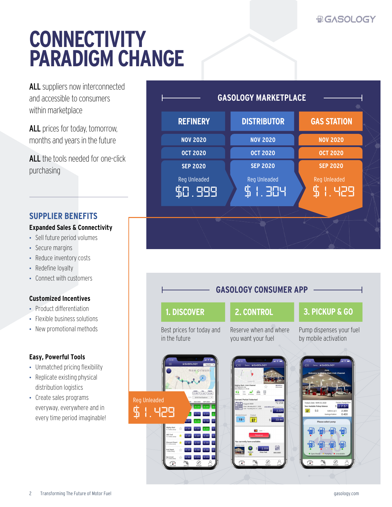## **BIGASOLOGY**

## **CONNECTIVITY PARADIGM CHANGE**

ALL suppliers now interconnected and accessible to consumers within marketplace

ALL prices for today, tomorrow, months and years in the future

ALL the tools needed for one-click purchasing

#### **SUPPLIER BENEFITS**

#### **Expanded Sales & Connectivity**

- Sell future period volumes
- Secure margins
- Reduce inventory costs
- Redefine loyalty
- Connect with customers

#### **Customized Incentives**

- Product differentiation
- Flexible business solutions
- New promotional methods

#### **Easy, Powerful Tools**

- Unmatched pricing flexibility
- Replicate existing physical distribution logistics
- Create sales programs everyway, everywhere and in every time period imaginable!



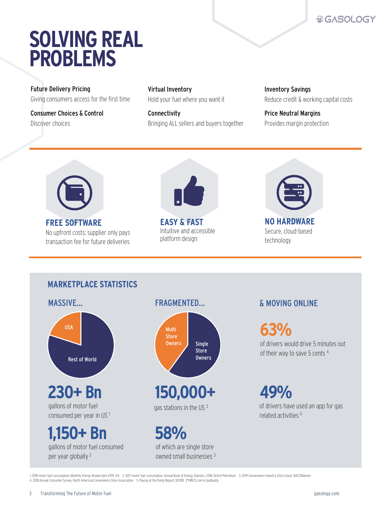## **BIGASOLOGY**

## **SOLVING REAL PROBLEMS**

Future Delivery Pricing Giving consumers access for the first time

Consumer Choices & Control Discover choices

Virtual Inventory Hold your fuel where you want it

Connectivity Bringing ALL sellers and buyers together Inventory Savings Reduce credit & working capital costs

Price Neutral Margins Provides margin protection



**FREE SOFTWARE** No upfront costs; supplier only pays transaction fee for future deliveries



**EASY & FAST** Intuitive and accessible platform design



Secure, cloud-based technology

### **MARKETPLACE STATISTICS**





gas stations in the US<sup>3</sup>

**58%** of which are single store owned small businesses 3

### & MOVING ONLINE

**63%** of drivers would drive 5 minutes out

of their way to save 5 cents 4

**49%** of drivers have used an app for gas related activities 5

1. 2018 motor fuel consumption, Monthly Energy Review April 2019, EIA 2. 2017 motor fuel consumption, Annual Book of Energy Statistics 2018, British Petroleum 3. 2019 Convenience Industry Store Count, NACS/Nielsen 4. 2018 Annual Consumer Survey, North American Convenience Store Association 5. Paying at the Pump Report, 11/2018 , PYMNTS.com & GasBuddy